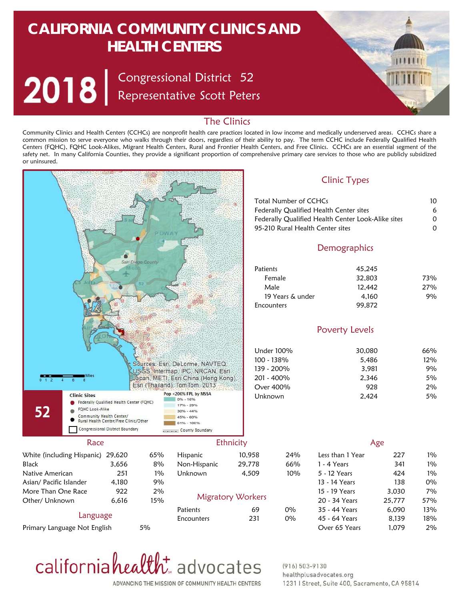# **CALIFORNIA COMMUNITY CLINICS AND HEALTH CENTERS**

Congressional District Representative Scott Peters 52



## The Clinics

Community Clinics and Health Centers (CCHCs) are nonprofit health care practices located in low income and medically underserved areas. CCHCs share a common mission to serve everyone who walks through their doors, regardless of their ability to pay. The term CCHC include Federally Qualified Health Centers (FQHC), FQHC Look-Alikes, Migrant Health Centers, Rural and Frontier Health Centers, and Free Clinics. CCHCs are an essential segment of the safety net. In many California Counties, they provide a significant proportion of comprehensive primary care services to those who are publicly subsidized or uninsured.





#### $(916) 503 - 9130$ healthplusadvocates.org 1231 | Street, Suite 400, Sacramento, CA 95814

ADVANCING THE MISSION OF COMMUNITY HEALTH CENTERS